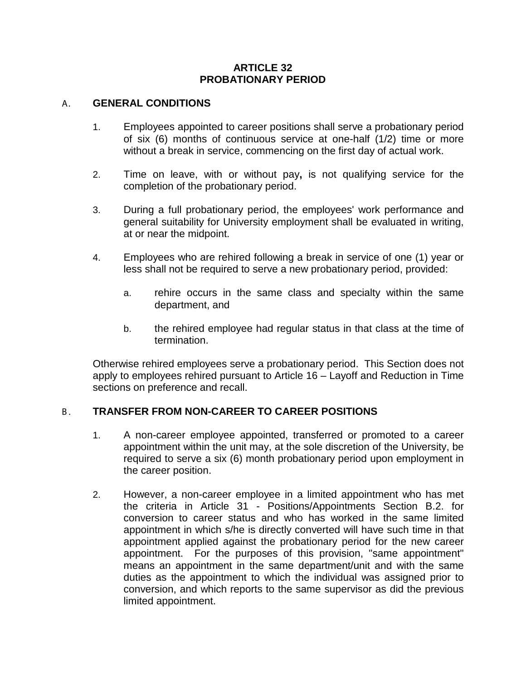## **ARTICLE 32 PROBATIONARY PERIOD**

#### A. **GENERAL CONDITIONS**

- 1. Employees appointed to career positions shall serve a probationary period of six (6) months of continuous service at one-half (1/2) time or more without a break in service, commencing on the first day of actual work.
- 2. Time on leave, with or without pay**,** is not qualifying service for the completion of the probationary period.
- 3. During a full probationary period, the employees' work performance and general suitability for University employment shall be evaluated in writing, at or near the midpoint.
- 4. Employees who are rehired following a break in service of one (1) year or less shall not be required to serve a new probationary period, provided:
	- a. rehire occurs in the same class and specialty within the same department, and
	- b. the rehired employee had regular status in that class at the time of termination.

Otherwise rehired employees serve a probationary period. This Section does not apply to employees rehired pursuant to Article 16 – Layoff and Reduction in Time sections on preference and recall.

## B . **TRANSFER FROM NON-CAREER TO CAREER POSITIONS**

- 1. A non-career employee appointed, transferred or promoted to a career appointment within the unit may, at the sole discretion of the University, be required to serve a six (6) month probationary period upon employment in the career position.
- 2. However, a non-career employee in a limited appointment who has met the criteria in Article 31 - Positions/Appointments Section B.2. for conversion to career status and who has worked in the same limited appointment in which s/he is directly converted will have such time in that appointment applied against the probationary period for the new career appointment. For the purposes of this provision, "same appointment" means an appointment in the same department/unit and with the same duties as the appointment to which the individual was assigned prior to conversion, and which reports to the same supervisor as did the previous limited appointment.